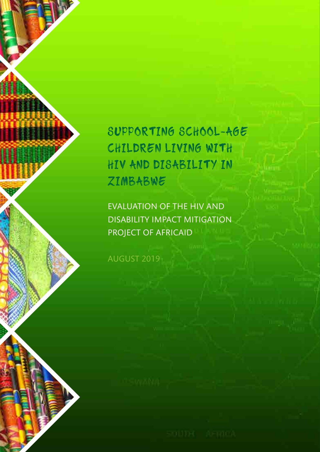# SUPPORTING SCHOOL-AGE CHILDREN LIVING WITH HIV AND DISABILITY IN ZIMBABWE

EVALUATION OF THE HIV AND DISABILITY IMPACT MITIGATION PROJECT OF AFRICAID

AUGUST 2019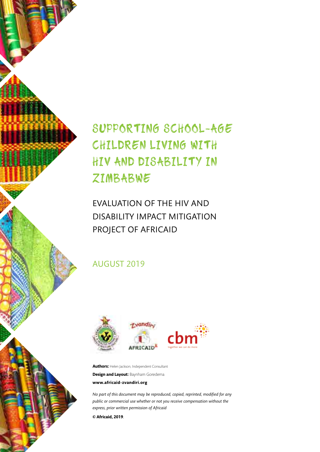## SUPPORTING SCHOOL-AGE CHILDREN LIVING WITH HIV AND DISABILITY IN ZIMBABWE

EVALUATION OF THE HIV AND DISABILITY IMPACT MITIGATION PROJECT OF AFRICAID

### AUGUST 2019



**Authors:** Helen Jackson, Independent Consultant **Design and Layout:** Baynham Goredema **www.africaid-zvandiri.org**

*No part of this document may be reproduced, copied, reprinted, modified for any public or commercial use whether or not you receive compensation without the express, prior written permission of Africaid*

**© Africaid, 2019***.*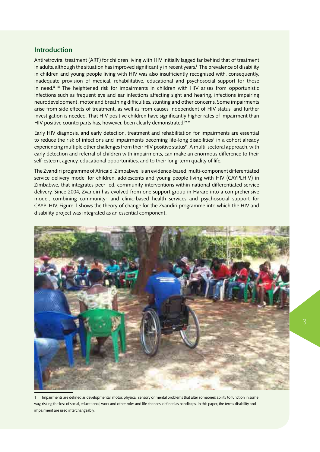#### Introduction

Antiretroviral treatment (ART) for children living with HIV initially lagged far behind that of treatment in adults, although the situation has improved significantly in recent years.<sup>i</sup> The prevalence of disability in children and young people living with HIV was also insufficiently recognised with, consequently, inadequate provision of medical, rehabilitative, educational and psychosocial support for those in need.<sup>ii iii</sup> The heightened risk for impairments in children with HIV arises from opportunistic infections such as frequent eye and ear infections affecting sight and hearing, infections impairing neurodevelopment, motor and breathing difficulties, stunting and other concerns. Some impairments arise from side effects of treatment, as well as from causes independent of HIV status, and further investigation is needed. That HIV positive children have significantly higher rates of impairment than HIV positive counterparts has, however, been clearly demonstrated.<sup>iv v</sup>

Early HIV diagnosis, and early detection, treatment and rehabilitation for impairments are essential to reduce the risk of infections and impairments becoming life-long disabilities<sup>1</sup> in a cohort already experiencing multiple other challenges from their HIV positive status<sup>vi</sup>. A multi-sectoral approach, with early detection and referral of children with impairments, can make an enormous difference to their self-esteem, agency, educational opportunities, and to their long-term quality of life.

The Zvandiri programme of Africaid, Zimbabwe, is an evidence-based, multi-component differentiated service delivery model for children, adolescents and young people living with HIV (CAYPLHIV) in Zimbabwe, that integrates peer-led, community interventions within national differentiated service delivery. Since 2004, Zvandiri has evolved from one support group in Harare into a comprehensive model, combining community- and clinic-based health services and psychosocial support for CAYPLHIV. Figure 1 shows the theory of change for the Zvandiri programme into which the HIV and disability project was integrated as an essential component.



Impairments are defined as developmental, motor, physical, sensory or mental problems that alter someone's ability to function in some way, risking the loss of social, educational, work and other roles and life chances, defined as handicaps. In this paper, the terms disability and impairment are used interchangeably.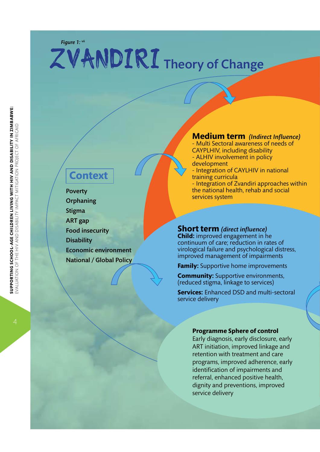# ZVANDIRI Theory of Change

## **Context**

Poverty **Orphaning Stigma** ART gap Food insecurity **Disability** Economic environment National / Global Policy

#### **Medium term** *(Indirect Influence)*

- Multi Sectoral awareness of needs of CAYPLHIV, including disability - ALHIV involvement in policy development - Integration of CAYLHIV in national training curricula - Integration of Zvandiri approaches within the national health, rehab and social services system

#### **Short term** *(direct influence)*

**Child:** improved engagement in he continuum of care; reduction in rates of virological failure and psychological distress, improved management of impairments

**Family:** Supportive home improvements

**Community:** Supportive environments, (reduced stigma, linkage to services)

**Services:** Enhanced DSD and multi-sectoral service delivery

#### **Programme Sphere of control**

Early diagnosis, early disclosure, early ART initiation, improved linkage and retention with treatment and care programs, improved adherence, early identification of impairments and referral, enhanced positive health, dignity and preventions, improved service delivery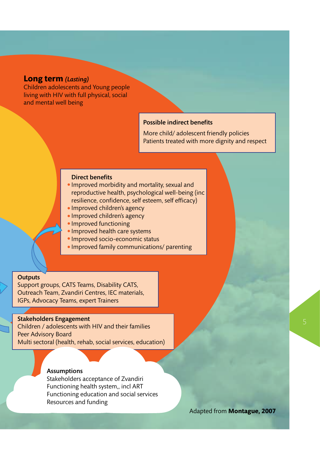#### **Long term** *(Lasting)*

Children adolescents and Young people living with HIV with full physical, social and mental well being

#### Possible indirect benefits

More child/ adolescent friendly policies Patients treated with more dignity and respect

#### Direct benefits

- Improved morbidity and mortality, sexual and reproductive health, psychological well-being (inc resilience, confidence, self esteem, self efficacy)
- Improved children's agency
- Improved children's agency
- Improved functioning
- Improved health care systems
- Improved socio-economic status
- Improved family communications/ parenting

#### **Outputs**

Support groups, CATS Teams, Disability CATS, Outreach Team, Zvandiri Centres, IEC materials, IGPs, Advocacy Teams, expert Trainers

#### Stakeholders Engagement

Children / adolescents with HIV and their families Peer Advisory Board Multi sectoral (health, rehab, social services, education)

#### Assumptions

Stakeholders acceptance of Zvandiri Functioning health system,, incl ART Functioning education and social services Resources and funding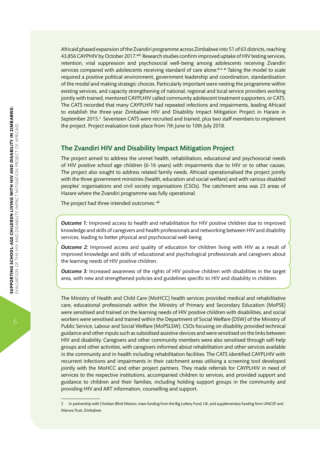Africaid phased expansion of the Zvandiri programme across Zimbabwe into 51 of 63 districts, reaching 43,856 CAYPHIV by October 2017.<sup>viii</sup> Research studies confirm improved uptake of HIV testing services, retention, viral suppression and psychosocial well-being among adolescents receiving Zvandiri services compared with adolescents receiving standard of care alone.<sup>ix x</sup> Taking the model to scale required a positive political environment, government leadership and coordination, standardisation of the model and making strategic choices. Particularly important were nesting the programme within existing services, and capacity strengthening of national, regional and local service providers working jointly with trained, mentored CAYPLHIV called community adolescent treatment supporters, or CATS. The CATS recorded that many CAYPLHIV had repeated infections and impairments, leading Africaid to establish the three-year Zimbabwe HIV and Disability Impact Mitigation Project in Harare in September 2015.<sup>2</sup> Seventeen CATS were recruited and trained, plus two staff members to implement the project. Project evaluation took place from 7th June to 10th July 2018.

#### The Zvandiri HIV and Disability Impact Mitigation Project

The project aimed to address the unmet health, rehabilitation, educational and psychosocial needs of HIV positive school age children (6-16 years) with impairments due to HIV or to other causes. The project also sought to address related family needs. Africaid operationalised the project jointly with the three government ministries (health, education and social welfare) and with various disabled peoples' organisations and civil society organisations (CSOs). The catchment area was 23 areas of Harare where the Zvandiri programme was fully operational.

The project had three intended outcomes: xii

**Outcome 1:** Improved access to health and rehabilitation for HIV positive children due to improved knowledge and skills of caregivers and health professionals and networking between HIV and disability services, leading to better physical and psychosocial well-being.

*Outcome 2:* Improved access and quality of education for children living with HIV as a result of improved knowledge and skills of educational and psychological professionals and caregivers about the learning needs of HIV positive children.

**Outcome 3:** Increased awareness of the rights of HIV positive children with disabilities in the target area, with new and strengthened policies and guidelines specific to HIV and disability in children.

The Ministry of Health and Child Care (MoHCC) health services provided medical and rehabilitative care, educational professionals within the Ministry of Primary and Secondary Education (MoPSE) were sensitised and trained on the learning needs of HIV positive children with disabilities, and social workers were sensitised and trained within the Department of Social Welfare (DSW) of the Ministry of Public Service, Labour and Social Welfare (MoPSLSW). CSOs focusing on disability provided technical guidance and other inputs such as subsidised assistive devices and were sensitised on the links between HIV and disability. Caregivers and other community members were also sensitised through self-help groups and other activities, with caregivers informed about rehabilitation and other services available in the community and in health including rehabilitation facilities. The CATS identified CAYPLHIV with recurrent infections and impairments in their catchment areas utilising a screening tool developed jointly with the MoHCC and other project partners. They made referrals for CAYPLHIV in need of services to the respective institutions, accompanied children to services, and provided support and guidance to children and their families, including holding support groups in the community and providing HIV and ART information, counselling and support.

6

<sup>2</sup> In partnership with Christian Blind Mission, main funding from the Big Lottery Fund, UK, and supplementary funding from UNICEF and Maruva Trust, Zimbabwe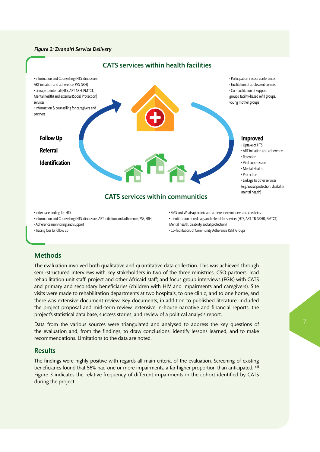#### *Figure 2: Zvandiri Service Delivery*



• Adherence monitoring and support • Tracing foss to follow up

• Identification of red flags and referral for services (HTS, ART. TB, SRHR, PMTCT, Mental health, disability, soctal protection) • Co-facilitation, of Community Adherence Refill Groups

**Methods** 

The evaluation involved both qualitative and quantitative data collection. This was achieved through semi-structured interviews with key stakeholders in two of the three ministries, CSO partners, lead rehabilitation unit staff, project and other Africaid staff; and focus group interviews (FGIs) with CATS and primary and secondary beneficiaries (children with HIV and impairments and caregivers). Site visits were made to rehabilitation departments at two hospitals, to one clinic, and to one home, and there was extensive document review. Key documents, in addition to published literature, included the project proposal and mid-term review, extensive in-house narrative and financial reports, the project's statistical data base, success stories, and review of a political analysis report.

Data from the various sources were triangulated and analysed to address the key questions of the evaluation and, from the findings, to draw conclusions, identify lessons learned, and to make recommendations. Limitations to the data are noted.

#### Results

The findings were highly positive with regards all main criteria of the evaluation. Screening of existing beneficiaries found that 56% had one or more impairments, a far higher proportion than anticipated. xiii Figure 3 indicates the relative frequency of different impairments in the cohort identified by CATS during the project.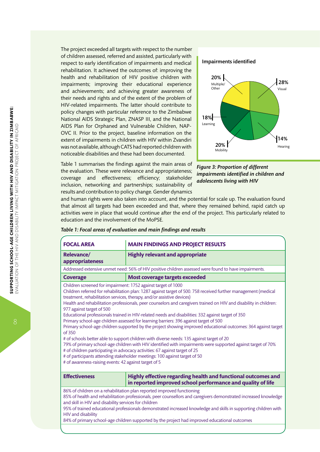The project exceeded all targets with respect to the number of children assessed, referred and assisted, particularly with respect to early identification of impairments and medical rehabilitation. It achieved the outcomes of: improving the health and rehabilitation of HIV positive children with impairments; improving their educational experience and achievements; and achieving greater awareness of their needs and rights and of the extent of the problem of HIV-related impairments. The latter should contribute to policy changes with particular reference to the Zimbabwe National AIDS Strategic Plan, ZNASP III, and the National AIDS Plan for Orphaned and Vulnerable Children, NAP-OVC II. Prior to the project, baseline information on the extent of impairments in children with HIV within Zvandiri was not available, although CATS had reported children with noticeable disabilities and these had been documented.

Table 1 summarises the findings against the main areas of the evaluation. These were relevance and appropriateness; coverage and effectiveness; efficiency; stakeholder inclusion, networking and partnerships; sustainability of results and contribution to policy change. Gender dynamics

#### Impairments identified



*Figure 3: Proportion of different impairments identified in children and adolescents living with HIV*

and human rights were also taken into account, and the potential for scale up. The evaluation found that almost all targets had been exceeded and that, where they remained behind, rapid catch up activities were in place that would continue after the end of the project. This particularly related to education and the involvement of the MoPSE.

| <b>FOCAL AREA</b>                                                                                                                                                                                                                                                                                                                                                                                                                                                                                                                                                                                                                                                                                                                                                                                                                                                                                                                                                                                                                                                                                                                                                          | <b>MAIN FINDINGS AND PROJECT RESULTS</b>                                                                                     |
|----------------------------------------------------------------------------------------------------------------------------------------------------------------------------------------------------------------------------------------------------------------------------------------------------------------------------------------------------------------------------------------------------------------------------------------------------------------------------------------------------------------------------------------------------------------------------------------------------------------------------------------------------------------------------------------------------------------------------------------------------------------------------------------------------------------------------------------------------------------------------------------------------------------------------------------------------------------------------------------------------------------------------------------------------------------------------------------------------------------------------------------------------------------------------|------------------------------------------------------------------------------------------------------------------------------|
| <b>Relevance/</b><br>appropriateness                                                                                                                                                                                                                                                                                                                                                                                                                                                                                                                                                                                                                                                                                                                                                                                                                                                                                                                                                                                                                                                                                                                                       | <b>Highly relevant and appropriate</b>                                                                                       |
| Addressed extensive unmet need: 56% of HIV positive children assessed were found to have impairments.                                                                                                                                                                                                                                                                                                                                                                                                                                                                                                                                                                                                                                                                                                                                                                                                                                                                                                                                                                                                                                                                      |                                                                                                                              |
| <b>Coverage</b>                                                                                                                                                                                                                                                                                                                                                                                                                                                                                                                                                                                                                                                                                                                                                                                                                                                                                                                                                                                                                                                                                                                                                            | <b>Most coverage targets exceeded</b>                                                                                        |
| Children screened for impairment: 1752 against target of 1000<br>Children referred for rehabilitation plan: 1287 against target of 500.758 received further management (medical<br>treatment, rehabilitation services, therapy, and/or assistive devices)<br>Health and rehabilitation professionals, peer counselors and caregivers trained on HIV and disability in children:<br>977 against target of 500<br>Educational professionals trained in HIV-related needs and disabilities: 332 against target of 350<br>Primary school-age children assessed for learning barriers: 396 against target of 500<br>Primary school-age children supported by the project showing improved educational outcomes: 364 against target<br>of 350<br># of schools better able to support children with diverse needs: 135 against target of 20<br>79% of primary school-age children with HIV identified with impairments were supported against target of 70%<br># of children participating in advocacy activities: 67 against target of 25<br># of participants attending stakeholder meetings: 100 against target of 50<br># of awareness-raising events: 42 against target of 5 |                                                                                                                              |
| <b>Effectiveness</b>                                                                                                                                                                                                                                                                                                                                                                                                                                                                                                                                                                                                                                                                                                                                                                                                                                                                                                                                                                                                                                                                                                                                                       | Highly effective regarding health and functional outcomes and<br>in reported improved school performance and quality of life |
| 86% of children on a rehabilitation plan reported improved functioning<br>85% of health and rehabilitation professionals, peer counsellors and caregivers demonstrated increased knowledge<br>and skill in HIV and disability services for children<br>95% of trained educational professionals demonstrated increased knowledge and skills in supporting children with                                                                                                                                                                                                                                                                                                                                                                                                                                                                                                                                                                                                                                                                                                                                                                                                    |                                                                                                                              |

#### *Table 1: Focal areas of evaluation and main findings and results*

HIV and disability 84% of primary school-age children supported by the project had improved educational outcomes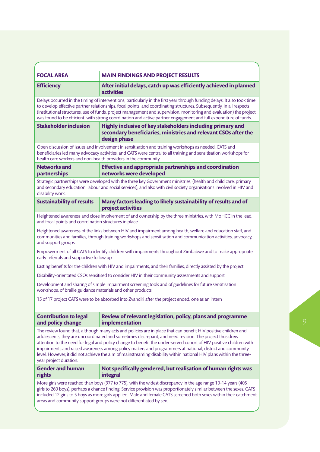| <b>FOCAL AREA</b>                                                                                                                                                                                                                                                                                                                                                                                                                                                                                                                                                                                          | <b>MAIN FINDINGS AND PROJECT RESULTS</b>                                                                                                      |  |
|------------------------------------------------------------------------------------------------------------------------------------------------------------------------------------------------------------------------------------------------------------------------------------------------------------------------------------------------------------------------------------------------------------------------------------------------------------------------------------------------------------------------------------------------------------------------------------------------------------|-----------------------------------------------------------------------------------------------------------------------------------------------|--|
| <b>Efficiency</b>                                                                                                                                                                                                                                                                                                                                                                                                                                                                                                                                                                                          | After initial delays, catch up was efficiently achieved in planned<br>activities                                                              |  |
| Delays occurred in the timing of interventions, particularly in the first year through funding delays. It also took time<br>to develop effective partner relationships, focal points, and coordinating structures. Subsequently, in all respects<br>(institutional structures, use of funds, project management and supervision, monitoring and evaluation) the project<br>was found to be efficient, with strong coordination and active partner engagement and full expenditure of funds.                                                                                                                |                                                                                                                                               |  |
| <b>Stakeholder inclusion</b>                                                                                                                                                                                                                                                                                                                                                                                                                                                                                                                                                                               | Highly inclusive of key stakeholders including primary and<br>secondary beneficiaries, ministries and relevant CSOs after the<br>design phase |  |
| Open discussion of issues and involvement in sensitisation and training workshops as needed. CATS and<br>beneficiaries led many advocacy activities, and CATS were central to all training and sensitisation workshops for<br>health care workers and non-health providers in the community.                                                                                                                                                                                                                                                                                                               |                                                                                                                                               |  |
| <b>Networks and</b>                                                                                                                                                                                                                                                                                                                                                                                                                                                                                                                                                                                        | <b>Effective and appropriate partnerships and coordination</b>                                                                                |  |
| partnerships                                                                                                                                                                                                                                                                                                                                                                                                                                                                                                                                                                                               | networks were developed                                                                                                                       |  |
| Strategic partnerships were developed with the three key Government ministries, (health and child care, primary<br>and secondary education, labour and social services), and also with civil society organisations involved in HIV and<br>disability work.                                                                                                                                                                                                                                                                                                                                                 |                                                                                                                                               |  |
| <b>Sustainability of results</b>                                                                                                                                                                                                                                                                                                                                                                                                                                                                                                                                                                           | Many factors leading to likely sustainability of results and of<br>project activities                                                         |  |
|                                                                                                                                                                                                                                                                                                                                                                                                                                                                                                                                                                                                            | Heightened awareness and close involvement of and ownership by the three ministries, with MoHCC in the lead,                                  |  |
| and focal points and coordination structures in place                                                                                                                                                                                                                                                                                                                                                                                                                                                                                                                                                      |                                                                                                                                               |  |
| Heightened awareness of the links between HIV and impairment among health, welfare and education staff, and<br>communities and families, through training workshops and sensitisation and communication activities, advocacy,<br>and support groups                                                                                                                                                                                                                                                                                                                                                        |                                                                                                                                               |  |
| Empowerment of all CATS to identify children with impairments throughout Zimbabwe and to make appropriate<br>early referrals and supportive follow up                                                                                                                                                                                                                                                                                                                                                                                                                                                      |                                                                                                                                               |  |
| Lasting benefits for the children with HIV and impairments, and their families, directly assisted by the project                                                                                                                                                                                                                                                                                                                                                                                                                                                                                           |                                                                                                                                               |  |
| Disability-orientated CSOs sensitised to consider HIV in their community assessments and support                                                                                                                                                                                                                                                                                                                                                                                                                                                                                                           |                                                                                                                                               |  |
| Development and sharing of simple impairment screening tools and of guidelines for future sensitisation<br>workshops, of braille guidance materials and other products                                                                                                                                                                                                                                                                                                                                                                                                                                     |                                                                                                                                               |  |
| 15 of 17 project CATS were to be absorbed into Zvandiri after the project ended, one as an intern                                                                                                                                                                                                                                                                                                                                                                                                                                                                                                          |                                                                                                                                               |  |
|                                                                                                                                                                                                                                                                                                                                                                                                                                                                                                                                                                                                            |                                                                                                                                               |  |
| <b>Contribution to legal</b><br>and policy change                                                                                                                                                                                                                                                                                                                                                                                                                                                                                                                                                          | Review of relevant legislation, policy, plans and programme<br>implementation                                                                 |  |
| The review found that, although many acts and policies are in place that can benefit HIV positive children and<br>adolescents, they are uncoordinated and sometimes discrepant, and need revision. The project thus drew<br>attention to the need for legal and policy change to benefit the under-served cohort of HIV positive children with<br>impairments and raised awareness among policy makers and programmers at national, district and community<br>level. However, it did not achieve the aim of mainstreaming disability within national HIV plans within the three-<br>year project duration. |                                                                                                                                               |  |
| <b>Gender and human</b><br>rights                                                                                                                                                                                                                                                                                                                                                                                                                                                                                                                                                                          | Not specifically gendered, but realisation of human rights was<br>integral                                                                    |  |
| More girls were reached than boys (977 to 775), with the widest discrepancy in the age range 10-14 years (405<br>girls to 260 boys), perhaps a chance finding. Service provision was proportionately similar between the sexes. CATS<br>included 12 girls to 5 boys as more girls applied. Male and female CATS screened both sexes within their catchment<br>areas and community support groups were not differentiated by sex.                                                                                                                                                                           |                                                                                                                                               |  |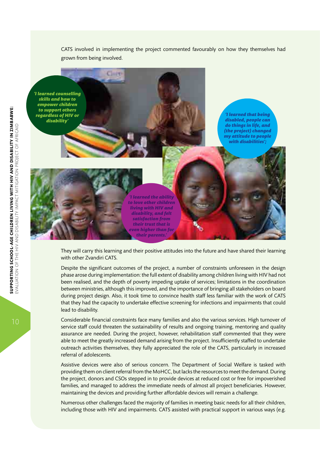

*'I learned counselling skills and how to empower children to support others regardless of HIV or disability'*

*'I learned that being disabled, people can do things in life, and (the project) changed my attitude to people with disabilities';* 



Clint

*'I learned the ability to love other children living with HIV and disability, and felt satisfaction from their trust that is even higher than for* 

They will carry this learning and their positive attitudes into the future and have shared their learning with other Zvandiri CATS.

Despite the significant outcomes of the project, a number of constraints unforeseen in the design phase arose during implementation: the full extent of disability among children living with HIV had not been realised, and the depth of poverty impeding uptake of services; limitations in the coordination between ministries, although this improved, and the importance of bringing all stakeholders on board during project design. Also, it took time to convince health staff less familiar with the work of CATS that they had the capacity to undertake effective screening for infections and impairments that could lead to disability.

Considerable financial constraints face many families and also the various services. High turnover of service staff could threaten the sustainability of results and ongoing training, mentoring and quality assurance are needed. During the project, however, rehabilitation staff commented that they were able to meet the greatly increased demand arising from the project. Insufficiently staffed to undertake outreach activities themselves, they fully appreciated the role of the CATS, particularly in increased referral of adolescents.

Assistive devices were also of serious concern. The Department of Social Welfare is tasked with providing them on client referral from the MoHCC, but lacks the resources to meet the demand. During the project, donors and CSOs stepped in to provide devices at reduced cost or free for impoverished families, and managed to address the immediate needs of almost all project beneficiaries. However, maintaining the devices and providing further affordable devices will remain a challenge.

Numerous other challenges faced the majority of families in meeting basic needs for all their children, including those with HIV and impairments. CATS assisted with practical support in various ways (e.g.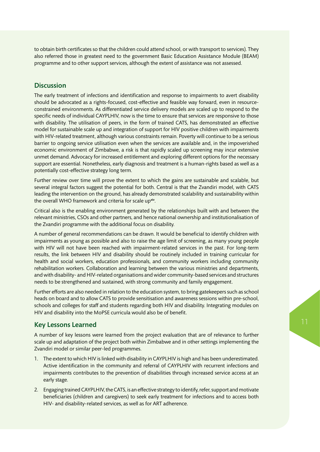to obtain birth certificates so that the children could attend school, or with transport to services). They also referred those in greatest need to the government Basic Education Assistance Module (BEAM) programme and to other support services, although the extent of assistance was not assessed.

#### **Discussion**

The early treatment of infections and identification and response to impairments to avert disability should be advocated as a rights-focused, cost-effective and feasible way forward, even in resourceconstrained environments. As differentiated service delivery models are scaled up to respond to the specific needs of individual CAYPLHIV, now is the time to ensure that services are responsive to those with disability. The utilisation of peers, in the form of trained CATS, has demonstrated an effective model for sustainable scale up and integration of support for HIV positive children with impairments with HIV-related treatment, although various constraints remain. Poverty will continue to be a serious barrier to ongoing service utilisation even when the services are available and, in the impoverished economic environment of Zimbabwe, a risk is that rapidly scaled up screening may incur extensive unmet demand. Advocacy for increased entitlement and exploring different options for the necessary support are essential. Nonetheless, early diagnosis and treatment is a human-rights based as well as a potentially cost-effective strategy long term.

Further review over time will prove the extent to which the gains are sustainable and scalable, but several integral factors suggest the potential for both. Central is that the Zvandiri model, with CATS leading the intervention on the ground, has already demonstrated scalability and sustainability within the overall WHO framework and criteria for scale upxiv.

Critical also is the enabling environment generated by the relationships built with and between the relevant ministries, CSOs and other partners, and hence national ownership and institutionalisation of the Zvandiri programme with the additional focus on disability.

A number of general recommendations can be drawn. It would be beneficial to identify children with impairments as young as possible and also to raise the age limit of screening, as many young people with HIV will not have been reached with impairment-related services in the past. For long-term results, the link between HIV and disability should be routinely included in training curricular for health and social workers, education professionals, and community workers including community rehabilitation workers. Collaboration and learning between the various ministries and departments, and with disability- and HIV-related organisations and wider community-based services and structures needs to be strengthened and sustained, with strong community and family engagement.

Further efforts are also needed in relation to the education system, to bring gatekeepers such as school heads on board and to allow CATS to provide sensitisation and awareness sessions within pre-school, schools and colleges for staff and students regarding both HIV and disability. Integrating modules on HIV and disability into the MoPSE curricula would also be of benefit.

#### Key Lessons Learned

A number of key lessons were learned from the project evaluation that are of relevance to further scale up and adaptation of the project both within Zimbabwe and in other settings implementing the Zvandiri model or similar peer-led programmes.

- 1. The extent to which HIV is linked with disability in CAYPLHIV is high and has been underestimated. Active identification in the community and referral of CAYPLHIV with recurrent infections and impairments contributes to the prevention of disabilities through increased service access at an early stage.
- 2. Engaging trained CAYPLHIV, the CATS, is an effective strategy to identify, refer, support and motivate beneficiaries (children and caregivers) to seek early treatment for infections and to access both HIV- and disability-related services, as well as for ART adherence.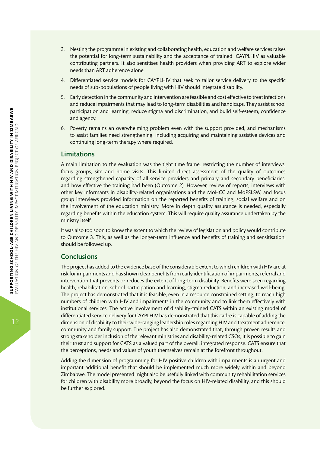- 3. Nesting the programme in existing and collaborating health, education and welfare services raises the potential for long-term sustainability and the acceptance of trained CAYPLHIV as valuable contributing partners. It also sensitises health providers when providing ART to explore wider needs than ART adherence alone.
- 4. Differentiated service models for CAYPLHIV that seek to tailor service delivery to the specific needs of sub-populations of people living with HIV should integrate disability.
- 5. Early detection in the community and intervention are feasible and cost effective to treat infections and reduce impairments that may lead to long-term disabilities and handicaps. They assist school participation and learning, reduce stigma and discrimination, and build self-esteem, confidence and agency.
- 6. Poverty remains an overwhelming problem even with the support provided, and mechanisms to assist families need strengthening, including acquiring and maintaining assistive devices and continuing long-term therapy where required.

#### Limitations

A main limitation to the evaluation was the tight time frame, restricting the number of interviews, focus groups, site and home visits. This limited direct assessment of the quality of outcomes regarding strengthened capacity of all service providers and primary and secondary beneficiaries, and how effective the training had been (Outcome 2). However, review of reports, interviews with other key informants in disability-related organisations and the MoHCC and MoPSLSW, and focus group interviews provided information on the reported benefits of training, social welfare and on the involvement of the education ministry. More in depth quality assurance is needed, especially regarding benefits within the education system. This will require quality assurance undertaken by the ministry itself.

It was also too soon to know the extent to which the review of legislation and policy would contribute to Outcome 3. This, as well as the longer-term influence and benefits of training and sensitisation, should be followed up.

#### Conclusions

The project has added to the evidence base of the considerable extent to which children with HIV are at risk for impairments and has shown clear benefits from early identification of impairments, referral and intervention that prevents or reduces the extent of long-term disability. Benefits were seen regarding health, rehabilitation, school participation and learning, stigma reduction, and increased well-being. The project has demonstrated that it is feasible, even in a resource constrained setting, to reach high numbers of children with HIV and impairments in the community and to link them effectively with institutional services. The active involvement of disability-trained CATS within an existing model of differentiated service delivery for CAYPLHIV has demonstrated that this cadre is capable of adding the dimension of disability to their wide-ranging leadership roles regarding HIV and treatment adherence, community and family support. The project has also demonstrated that, through proven results and strong stakeholder inclusion of the relevant ministries and disability-related CSOs, it is possible to gain their trust and support for CATS as a valued part of the overall, integrated response. CATS ensure that the perceptions, needs and values of youth themselves remain at the forefront throughout.

Adding the dimension of programming for HIV positive children with impairments is an urgent and important additional benefit that should be implemented much more widely within and beyond Zimbabwe. The model presented might also be usefully linked with community rehabilitation services for children with disability more broadly, beyond the focus on HIV-related disability, and this should be further explored.